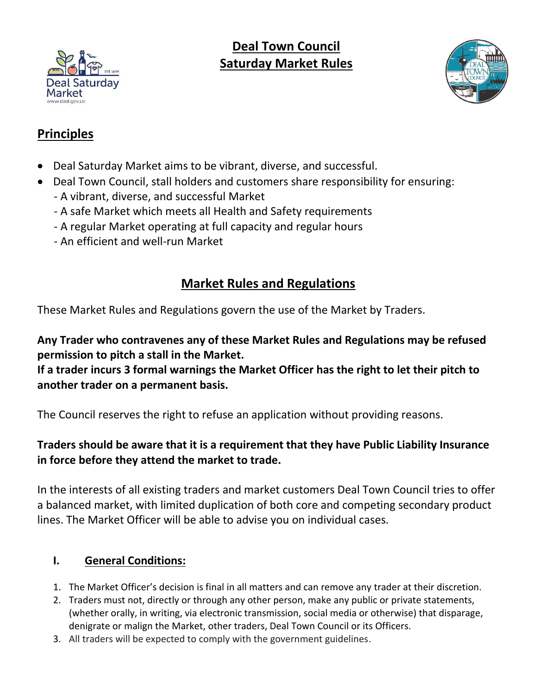

# **Deal Town Council Saturday Market Rules**



# **Principles**

- Deal Saturday Market aims to be vibrant, diverse, and successful.
- Deal Town Council, stall holders and customers share responsibility for ensuring: - A vibrant, diverse, and successful Market
	- A safe Market which meets all Health and Safety requirements
	- A regular Market operating at full capacity and regular hours
	- An efficient and well-run Market

# **Market Rules and Regulations**

These Market Rules and Regulations govern the use of the Market by Traders.

**Any Trader who contravenes any of these Market Rules and Regulations may be refused permission to pitch a stall in the Market.**

**If a trader incurs 3 formal warnings the Market Officer has the right to let their pitch to another trader on a permanent basis.**

The Council reserves the right to refuse an application without providing reasons.

# **Traders should be aware that it is a requirement that they have Public Liability Insurance in force before they attend the market to trade.**

In the interests of all existing traders and market customers Deal Town Council tries to offer a balanced market, with limited duplication of both core and competing secondary product lines. The Market Officer will be able to advise you on individual cases.

# **I. General Conditions:**

- 1. The Market Officer's decision is final in all matters and can remove any trader at their discretion.
- 2. Traders must not, directly or through any other person, make any public or private statements, (whether orally, in writing, via electronic transmission, social media or otherwise) that disparage, denigrate or malign the Market, other traders, Deal Town Council or its Officers.
- 3. All traders will be expected to comply with the government guidelines.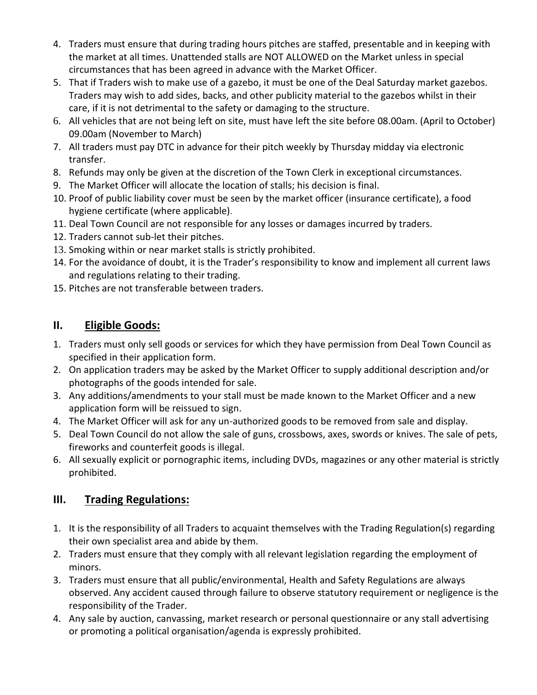- 4. Traders must ensure that during trading hours pitches are staffed, presentable and in keeping with the market at all times. Unattended stalls are NOT ALLOWED on the Market unless in special circumstances that has been agreed in advance with the Market Officer.
- 5. That if Traders wish to make use of a gazebo, it must be one of the Deal Saturday market gazebos. Traders may wish to add sides, backs, and other publicity material to the gazebos whilst in their care, if it is not detrimental to the safety or damaging to the structure.
- 6. All vehicles that are not being left on site, must have left the site before 08.00am. (April to October) 09.00am (November to March)
- 7. All traders must pay DTC in advance for their pitch weekly by Thursday midday via electronic transfer.
- 8. Refunds may only be given at the discretion of the Town Clerk in exceptional circumstances.
- 9. The Market Officer will allocate the location of stalls; his decision is final.
- 10. Proof of public liability cover must be seen by the market officer (insurance certificate), a food hygiene certificate (where applicable).
- 11. Deal Town Council are not responsible for any losses or damages incurred by traders.
- 12. Traders cannot sub-let their pitches.
- 13. Smoking within or near market stalls is strictly prohibited.
- 14. For the avoidance of doubt, it is the Trader's responsibility to know and implement all current laws and regulations relating to their trading.
- 15. Pitches are not transferable between traders.

### **II. Eligible Goods:**

- 1. Traders must only sell goods or services for which they have permission from Deal Town Council as specified in their application form.
- 2. On application traders may be asked by the Market Officer to supply additional description and/or photographs of the goods intended for sale.
- 3. Any additions/amendments to your stall must be made known to the Market Officer and a new application form will be reissued to sign.
- 4. The Market Officer will ask for any un-authorized goods to be removed from sale and display.
- 5. Deal Town Council do not allow the sale of guns, crossbows, axes, swords or knives. The sale of pets, fireworks and counterfeit goods is illegal.
- 6. All sexually explicit or pornographic items, including DVDs, magazines or any other material is strictly prohibited.

## **III. Trading Regulations:**

- 1. It is the responsibility of all Traders to acquaint themselves with the Trading Regulation(s) regarding their own specialist area and abide by them.
- 2. Traders must ensure that they comply with all relevant legislation regarding the employment of minors.
- 3. Traders must ensure that all public/environmental, Health and Safety Regulations are always observed. Any accident caused through failure to observe statutory requirement or negligence is the responsibility of the Trader.
- 4. Any sale by auction, canvassing, market research or personal questionnaire or any stall advertising or promoting a political organisation/agenda is expressly prohibited.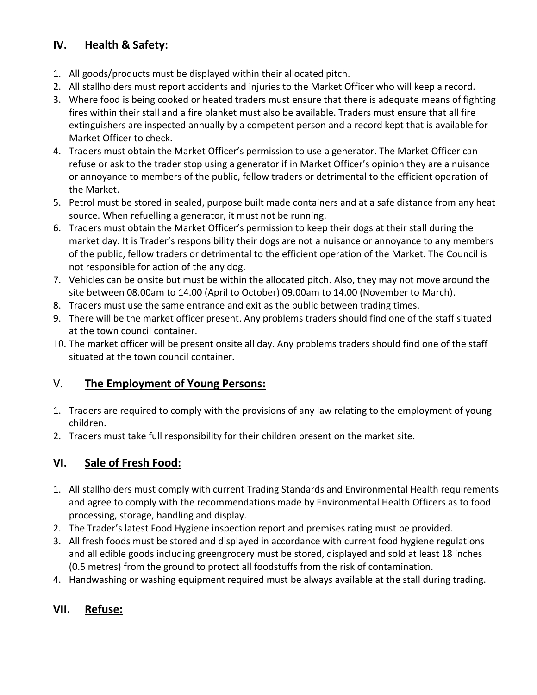#### **IV. Health & Safety:**

- 1. All goods/products must be displayed within their allocated pitch.
- 2. All stallholders must report accidents and injuries to the Market Officer who will keep a record.
- 3. Where food is being cooked or heated traders must ensure that there is adequate means of fighting fires within their stall and a fire blanket must also be available. Traders must ensure that all fire extinguishers are inspected annually by a competent person and a record kept that is available for Market Officer to check.
- 4. Traders must obtain the Market Officer's permission to use a generator. The Market Officer can refuse or ask to the trader stop using a generator if in Market Officer's opinion they are a nuisance or annoyance to members of the public, fellow traders or detrimental to the efficient operation of the Market.
- 5. Petrol must be stored in sealed, purpose built made containers and at a safe distance from any heat source. When refuelling a generator, it must not be running.
- 6. Traders must obtain the Market Officer's permission to keep their dogs at their stall during the market day. It is Trader's responsibility their dogs are not a nuisance or annoyance to any members of the public, fellow traders or detrimental to the efficient operation of the Market. The Council is not responsible for action of the any dog.
- 7. Vehicles can be onsite but must be within the allocated pitch. Also, they may not move around the site between 08.00am to 14.00 (April to October) 09.00am to 14.00 (November to March).
- 8. Traders must use the same entrance and exit as the public between trading times.
- 9. There will be the market officer present. Any problems traders should find one of the staff situated at the town council container.
- 10. The market officer will be present onsite all day. Any problems traders should find one of the staff situated at the town council container.

#### V. **The Employment of Young Persons:**

- 1. Traders are required to comply with the provisions of any law relating to the employment of young children.
- 2. Traders must take full responsibility for their children present on the market site.

#### **VI. Sale of Fresh Food:**

- 1. All stallholders must comply with current Trading Standards and Environmental Health requirements and agree to comply with the recommendations made by Environmental Health Officers as to food processing, storage, handling and display.
- 2. The Trader's latest Food Hygiene inspection report and premises rating must be provided.
- 3. All fresh foods must be stored and displayed in accordance with current food hygiene regulations and all edible goods including greengrocery must be stored, displayed and sold at least 18 inches (0.5 metres) from the ground to protect all foodstuffs from the risk of contamination.
- 4. Handwashing or washing equipment required must be always available at the stall during trading.

#### **VII. Refuse:**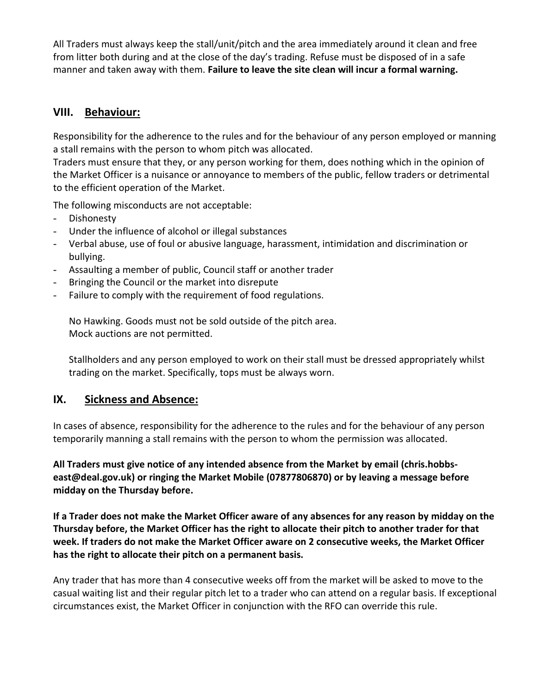All Traders must always keep the stall/unit/pitch and the area immediately around it clean and free from litter both during and at the close of the day's trading. Refuse must be disposed of in a safe manner and taken away with them. **Failure to leave the site clean will incur a formal warning.**

#### **VIII. Behaviour:**

Responsibility for the adherence to the rules and for the behaviour of any person employed or manning a stall remains with the person to whom pitch was allocated.

Traders must ensure that they, or any person working for them, does nothing which in the opinion of the Market Officer is a nuisance or annoyance to members of the public, fellow traders or detrimental to the efficient operation of the Market.

The following misconducts are not acceptable:

- Dishonesty
- Under the influence of alcohol or illegal substances
- Verbal abuse, use of foul or abusive language, harassment, intimidation and discrimination or bullying.
- Assaulting a member of public, Council staff or another trader
- Bringing the Council or the market into disrepute
- Failure to comply with the requirement of food regulations.

No Hawking. Goods must not be sold outside of the pitch area. Mock auctions are not permitted.

Stallholders and any person employed to work on their stall must be dressed appropriately whilst trading on the market. Specifically, tops must be always worn.

#### **IX. Sickness and Absence:**

In cases of absence, responsibility for the adherence to the rules and for the behaviour of any person temporarily manning a stall remains with the person to whom the permission was allocated.

**All Traders must give notice of any intended absence from the Market by email (chris.hobbseast@deal.gov.uk) or ringing the Market Mobile (07877806870) or by leaving a message before midday on the Thursday before.**

**If a Trader does not make the Market Officer aware of any absences for any reason by midday on the Thursday before, the Market Officer has the right to allocate their pitch to another trader for that week. If traders do not make the Market Officer aware on 2 consecutive weeks, the Market Officer has the right to allocate their pitch on a permanent basis.**

Any trader that has more than 4 consecutive weeks off from the market will be asked to move to the casual waiting list and their regular pitch let to a trader who can attend on a regular basis. If exceptional circumstances exist, the Market Officer in conjunction with the RFO can override this rule.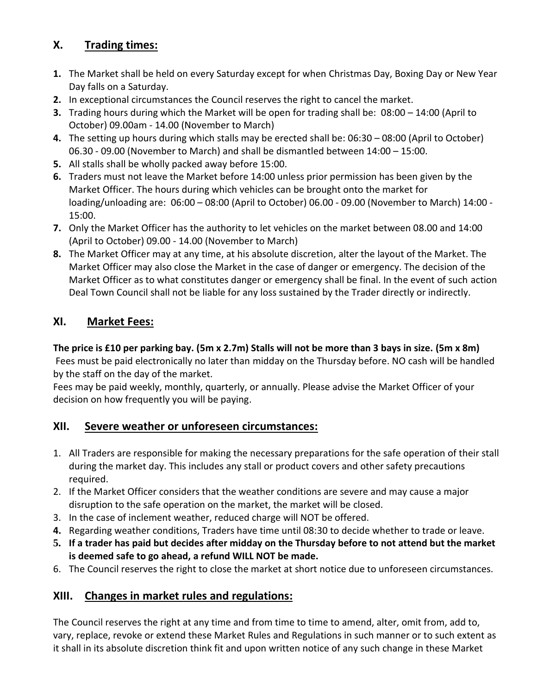### **X. Trading times:**

- **1.** The Market shall be held on every Saturday except for when Christmas Day, Boxing Day or New Year Day falls on a Saturday.
- **2.** In exceptional circumstances the Council reserves the right to cancel the market.
- **3.** Trading hours during which the Market will be open for trading shall be: 08:00 14:00 (April to October) 09.00am - 14.00 (November to March)
- **4.** The setting up hours during which stalls may be erected shall be: 06:30 08:00 (April to October) 06.30 - 09.00 (November to March) and shall be dismantled between 14:00 – 15:00.
- **5.** All stalls shall be wholly packed away before 15:00.
- **6.** Traders must not leave the Market before 14:00 unless prior permission has been given by the Market Officer. The hours during which vehicles can be brought onto the market for loading/unloading are: 06:00 – 08:00 (April to October) 06.00 - 09.00 (November to March) 14:00 - 15:00.
- **7.** Only the Market Officer has the authority to let vehicles on the market between 08.00 and 14:00 (April to October) 09.00 - 14.00 (November to March)
- **8.** The Market Officer may at any time, at his absolute discretion, alter the layout of the Market. The Market Officer may also close the Market in the case of danger or emergency. The decision of the Market Officer as to what constitutes danger or emergency shall be final. In the event of such action Deal Town Council shall not be liable for any loss sustained by the Trader directly or indirectly.

#### **XI. Market Fees:**

## **The price is £10 per parking bay. (5m x 2.7m) Stalls will not be more than 3 bays in size. (5m x 8m)**

Fees must be paid electronically no later than midday on the Thursday before. NO cash will be handled by the staff on the day of the market.

Fees may be paid weekly, monthly, quarterly, or annually. Please advise the Market Officer of your decision on how frequently you will be paying.

#### **XII. Severe weather or unforeseen circumstances:**

- 1. All Traders are responsible for making the necessary preparations for the safe operation of their stall during the market day. This includes any stall or product covers and other safety precautions required.
- 2. If the Market Officer considers that the weather conditions are severe and may cause a major disruption to the safe operation on the market, the market will be closed.
- 3. In the case of inclement weather, reduced charge will NOT be offered.
- **4.** Regarding weather conditions, Traders have time until 08:30 to decide whether to trade or leave.
- **5. If a trader has paid but decides after midday on the Thursday before to not attend but the market is deemed safe to go ahead, a refund WILL NOT be made.**
- 6. The Council reserves the right to close the market at short notice due to unforeseen circumstances.

#### **XIII. Changes in market rules and regulations:**

The Council reserves the right at any time and from time to time to amend, alter, omit from, add to, vary, replace, revoke or extend these Market Rules and Regulations in such manner or to such extent as it shall in its absolute discretion think fit and upon written notice of any such change in these Market